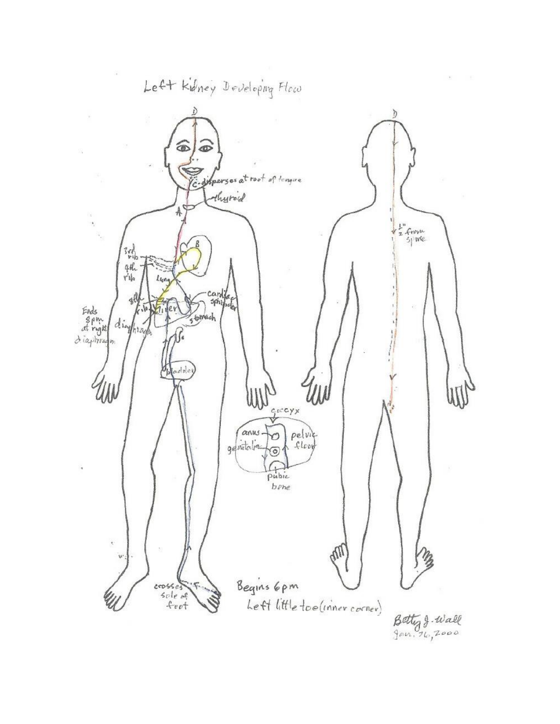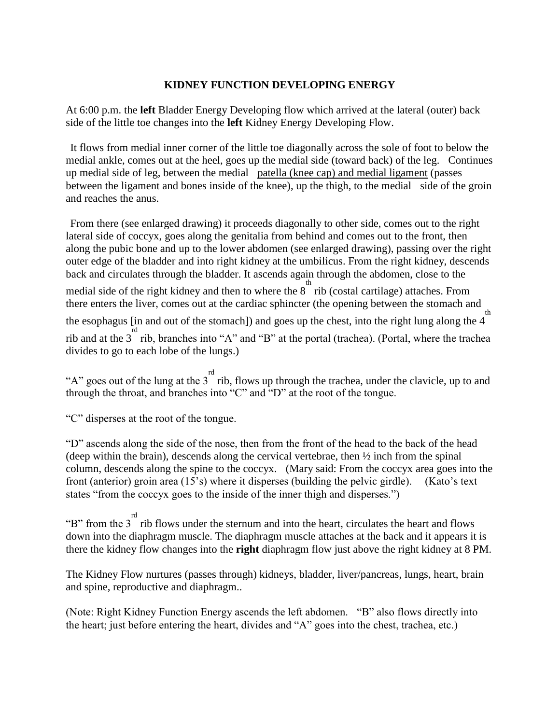## **KIDNEY FUNCTION DEVELOPING ENERGY**

At 6:00 p.m. the **left** Bladder Energy Developing flow which arrived at the lateral (outer) back side of the little toe changes into the **left** Kidney Energy Developing Flow.

It flows from medial inner corner of the little toe diagonally across the sole of foot to below the medial ankle, comes out at the heel, goes up the medial side (toward back) of the leg. Continues up medial side of leg, between the medial patella (knee cap) and medial ligament (passes between the ligament and bones inside of the knee), up the thigh, to the medial side of the groin and reaches the anus.

From there (see enlarged drawing) it proceeds diagonally to other side, comes out to the right lateral side of coccyx, goes along the genitalia from behind and comes out to the front, then along the pubic bone and up to the lower abdomen (see enlarged drawing), passing over the right outer edge of the bladder and into right kidney at the umbilicus. From the right kidney, descends back and circulates through the bladder. It ascends again through the abdomen, close to the medial side of the right kidney and then to where the  $8\degree$  rib (costal cartilage) attaches. From there enters the liver, comes out at the cardiac sphincter (the opening between the stomach and the esophagus [in and out of the stomach]) and goes up the chest, into the right lung along the  $4^{\degree}$ th rib and at the 3<sup>rd</sup> rib, branches into "A" and "B" at the portal (trachea). (Portal, where the trachea divides to go to each lobe of the lungs.)

"A" goes out of the lung at the  $3^{rd}$  rib, flows up through the trachea, under the clavicle, up to and through the throat, and branches into "C" and "D" at the root of the tongue.

"C" disperses at the root of the tongue.

"D" ascends along the side of the nose, then from the front of the head to the back of the head (deep within the brain), descends along the cervical vertebrae, then ½ inch from the spinal column, descends along the spine to the coccyx. (Mary said: From the coccyx area goes into the front (anterior) groin area (15's) where it disperses (building the pelvic girdle). (Kato's text states "from the coccyx goes to the inside of the inner thigh and disperses.")

"B" from the  $3^{rd}$  rib flows under the sternum and into the heart, circulates the heart and flows down into the diaphragm muscle. The diaphragm muscle attaches at the back and it appears it is there the kidney flow changes into the **right** diaphragm flow just above the right kidney at 8 PM.

The Kidney Flow nurtures (passes through) kidneys, bladder, liver/pancreas, lungs, heart, brain and spine, reproductive and diaphragm..

(Note: Right Kidney Function Energy ascends the left abdomen. "B" also flows directly into the heart; just before entering the heart, divides and "A" goes into the chest, trachea, etc.)